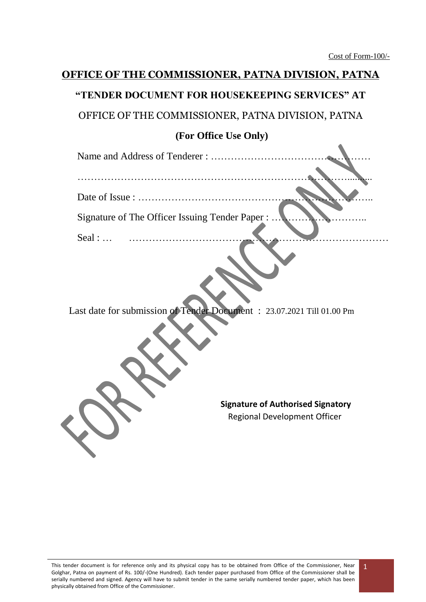## **OFFICE OF THE COMMISSIONER, PATNA DIVISION, PATNA "TENDER DOCUMENT FOR HOUSEKEEPING SERVICES" AT**

OFFICE OF THE COMMISSIONER, PATNA DIVISION, PATNA

## **(For Office Use Only)**

| Signature of The Officer Issuing Tender Paper : |  |
|-------------------------------------------------|--|
|                                                 |  |
| Seal :                                          |  |

Last date for submission of Tender Document : 23.07.2021 Till 01.00 Pm

**Signature of Authorised Signatory** Regional Development Officer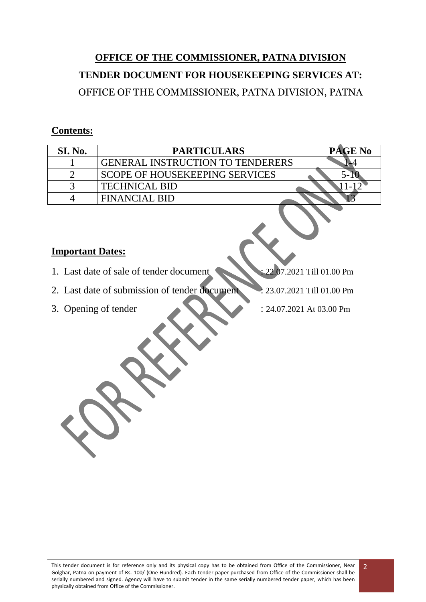# **OFFICE OF THE COMMISSIONER, PATNA DIVISION TENDER DOCUMENT FOR HOUSEKEEPING SERVICES AT:** OFFICE OF THE COMMISSIONER, PATNA DIVISION, PATNA

## **Contents:**

| SI. No. | <b>PARTICULARS</b>                      | <b>PAGE No</b> |
|---------|-----------------------------------------|----------------|
|         | <b>GENERAL INSTRUCTION TO TENDERERS</b> |                |
|         | <b>SCOPE OF HOUSEKEEPING SERVICES</b>   |                |
|         | <b>TECHNICAL BID</b>                    |                |
|         | <b>FINANCIAL BID</b>                    |                |

#### **Important Dates:**

- 1. Last date of sale of tender document : 22.07.2021 Till 01.00 Pm
- 2. Last date of submission of tender document : 23.07.2021 Till 01.00 Pm
- 
- 3. Opening of tender : 24.07.2021 At 03.00 Pm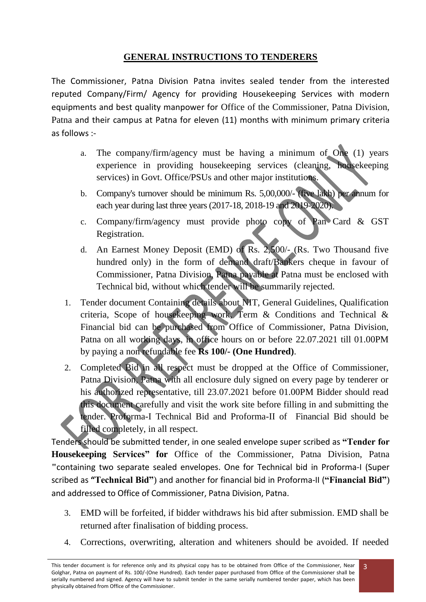## **GENERAL INSTRUCTIONS TO TENDERERS**

The Commissioner, Patna Division Patna invites sealed tender from the interested reputed Company/Firm/ Agency for providing Housekeeping Services with modern equipments and best quality manpower for Office of the Commissioner, Patna Division, Patna and their campus at Patna for eleven (11) months with minimum primary criteria as follows :-

- a. The company/firm/agency must be having a minimum of One (1) years experience in providing housekeeping services (cleaning, housekeeping services) in Govt. Office/PSUs and other major institutions.
- b. Company's turnover should be minimum Rs. 5,00,000/- (five lakh) per annum for each year during last three years (2017-18, 2018-19 and 2019-2020).
- c. Company/firm/agency must provide photo copy of Pan Card & GST Registration.
- d. An Earnest Money Deposit (EMD) of Rs. 2,500/- (Rs. Two Thousand five hundred only) in the form of demand draft/Bankers cheque in favour of Commissioner, Patna Division, Patna payable at Patna must be enclosed with Technical bid, without which tender will be summarily rejected.
- 1. Tender document Containing details about NIT, General Guidelines, Qualification criteria, Scope of housekeeping work, Term & Conditions and Technical & Financial bid can be purchased from Office of Commissioner, Patna Division, Patna on all working days, in office hours on or before 22.07.2021 till 01.00PM by paying a non refundable fee **Rs 100/- (One Hundred)**.
- 2. Completed Bid in all respect must be dropped at the Office of Commissioner, Patna Division, Patna with all enclosure duly signed on every page by tenderer or his authorized representative, till 23.07.2021 before 01.00PM Bidder should read this document carefully and visit the work site before filling in and submitting the tender. Proforma-I Technical Bid and Proforma-II of Financial Bid should be filled completely, in all respect.

Tenders should be submitted tender, in one sealed envelope super scribed as **"Tender for Housekeeping Services" for** Office of the Commissioner, Patna Division, Patna **"**containing two separate sealed envelopes. One for Technical bid in Proforma-I (Super scribed as **"Technical Bid"**) and another for financial bid in Proforma-II (**"Financial Bid"**) and addressed to Office of Commissioner, Patna Division, Patna.

- 3. EMD will be forfeited, if bidder withdraws his bid after submission. EMD shall be returned after finalisation of bidding process.
- 4. Corrections, overwriting, alteration and whiteners should be avoided. If needed

This tender document is for reference only and its physical copy has to be obtained from Office of the Commissioner, Near Golghar, Patna on payment of Rs. 100/-(One Hundred). Each tender paper purchased from Office of the Commissioner shall be serially numbered and signed. Agency will have to submit tender in the same serially numbered tender paper, which has been physically obtained from Office of the Commissioner.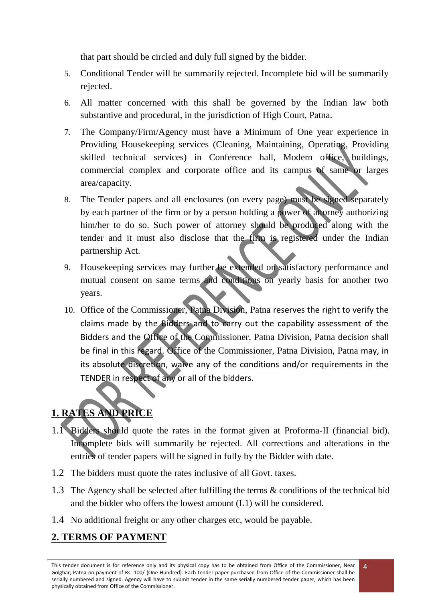that part should be circled and duly full signed by the bidder.

- 5. Conditional Tender will be summarily rejected. Incomplete bid will be summarily rejected.
- 6. All matter concerned with this shall be governed by the Indian law both substantive and procedural, in the jurisdiction of High Court, Patna.
- 7. The Company/Firm/Agency must have a Minimum of One year experience in Providing Housekeeping services (Cleaning, Maintaining, Operating, Providing skilled technical services) in Conference hall, Modern office, buildings, commercial complex and corporate office and its campus of same or larges area/capacity.
- 8. The Tender papers and all enclosures (on every page) must be signed separately by each partner of the firm or by a person holding a power of attorney authorizing him/her to do so. Such power of attorney should be produced along with the tender and it must also disclose that the firm is registered under the Indian partnership Act.
- 9. Housekeeping services may further be extended on satisfactory performance and mutual consent on same terms and conditions on yearly basis for another two years.
- 10. Office of the Commissioner, Patna Division, Patna reserves the right to verify the claims made by the Bidders and to carry out the capability assessment of the Bidders and the Office of the Commissioner, Patna Division, Patna decision shall be final in this regard. Office of the Commissioner, Patna Division, Patna may, in its absolute discretion, waive any of the conditions and/or requirements in the TENDER in respect of any or all of the bidders.

# **1. RATES AND PRICE**

- 1.1 Bidders should quote the rates in the format given at Proforma-II (financial bid). Incomplete bids will summarily be rejected. All corrections and alterations in the entries of tender papers will be signed in fully by the Bidder with date.
- 1.2 The bidders must quote the rates inclusive of all Govt. taxes.
- 1.3 The Agency shall be selected after fulfilling the terms & conditions of the technical bid and the bidder who offers the lowest amount (L1) will be considered.
- 1.4 No additional freight or any other charges etc, would be payable.

## **2. TERMS OF PAYMENT**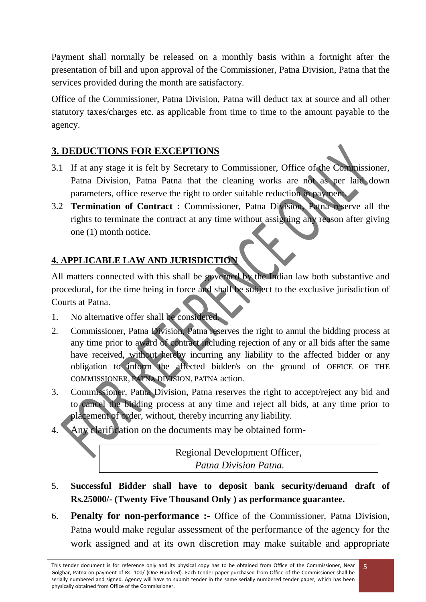Payment shall normally be released on a monthly basis within a fortnight after the presentation of bill and upon approval of the Commissioner, Patna Division, Patna that the services provided during the month are satisfactory.

Office of the Commissioner, Patna Division, Patna will deduct tax at source and all other statutory taxes/charges etc. as applicable from time to time to the amount payable to the agency.

## **3. DEDUCTIONS FOR EXCEPTIONS**

- 3.1 If at any stage it is felt by Secretary to Commissioner, Office of the Commissioner, Patna Division, Patna Patna that the cleaning works are not as per laid down parameters, office reserve the right to order suitable reduction in payment.
- 3.2 **Termination of Contract :** Commissioner, Patna Division, Patna reserve all the rights to terminate the contract at any time without assigning any reason after giving one (1) month notice.

## **4. APPLICABLE LAW AND JURISDICTION**

All matters connected with this shall be governed by the Indian law both substantive and procedural, for the time being in force and shall be subject to the exclusive jurisdiction of Courts at Patna.

- 1. No alternative offer shall be considered.
- 2. Commissioner, Patna Division, Patna reserves the right to annul the bidding process at any time prior to award of contract including rejection of any or all bids after the same have received, without hereby incurring any liability to the affected bidder or any obligation to inform the affected bidder/s on the ground of OFFICE OF THE COMMISSIONER, PATNA DIVISION, PATNA action.
- 3. Commissioner, Patna Division, Patna reserves the right to accept/reject any bid and to cancel the bidding process at any time and reject all bids, at any time prior to placement of order, without, thereby incurring any liability.
- 4. Any clarification on the documents may be obtained form-

Regional Development Officer*, Patna Division Patna.*

- 5. **Successful Bidder shall have to deposit bank security/demand draft of Rs.25000/- (Twenty Five Thousand Only ) as performance guarantee.**
- 6. **Penalty for non-performance :-** Office of the Commissioner, Patna Division, Patna would make regular assessment of the performance of the agency for the work assigned and at its own discretion may make suitable and appropriate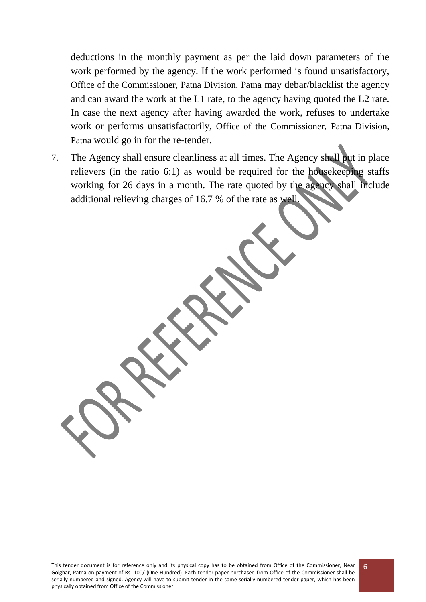deductions in the monthly payment as per the laid down parameters of the work performed by the agency. If the work performed is found unsatisfactory, Office of the Commissioner, Patna Division, Patna may debar/blacklist the agency and can award the work at the L1 rate, to the agency having quoted the L2 rate. In case the next agency after having awarded the work, refuses to undertake work or performs unsatisfactorily, Office of the Commissioner, Patna Division, Patna would go in for the re-tender.

7. The Agency shall ensure cleanliness at all times. The Agency shall put in place relievers (in the ratio 6:1) as would be required for the housekeeping staffs working for 26 days in a month. The rate quoted by the agency shall include additional relieving charges of 16.7 % of the rate as well.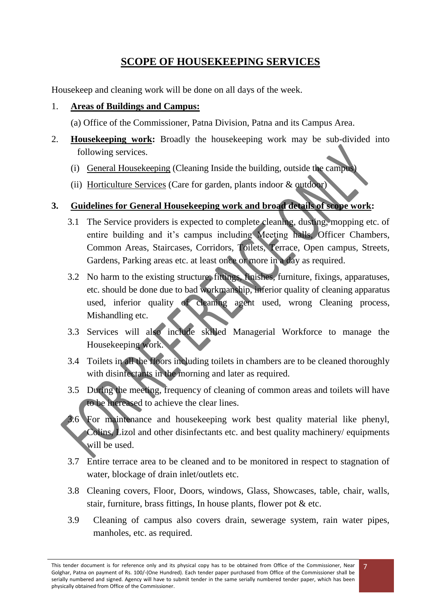## **SCOPE OF HOUSEKEEPING SERVICES**

Housekeep and cleaning work will be done on all days of the week.

### 1. **Areas of Buildings and Campus:**

(a) Office of the Commissioner, Patna Division, Patna and its Campus Area.

- 2. **Housekeeping work:** Broadly the housekeeping work may be sub-divided into following services.
	- (i) General Housekeeping (Cleaning Inside the building, outside the campus)
	- (ii) Horticulture Services (Care for garden, plants indoor & outdoor)

### **3. Guidelines for General Housekeeping work and broad details of scope work:**

- 3.1 The Service providers is expected to complete cleaning, dusting, mopping etc. of entire building and it's campus including Meeting halls, Officer Chambers, Common Areas, Staircases, Corridors, Toilets, Terrace, Open campus, Streets, Gardens, Parking areas etc. at least once or more in a day as required.
- 3.2 No harm to the existing structure, fittings, finishes, furniture, fixings, apparatuses, etc. should be done due to bad workmanship, inferior quality of cleaning apparatus used, inferior quality of cleaning agent used, wrong Cleaning process, Mishandling etc.
- 3.3 Services will also include skilled Managerial Workforce to manage the Housekeeping work.
- 3.4 Toilets in all the floors including toilets in chambers are to be cleaned thoroughly with disinfectants in the morning and later as required.
- 3.5 During the meeting, frequency of cleaning of common areas and toilets will have to be increased to achieve the clear lines.
- 3.6 For maintenance and housekeeping work best quality material like phenyl, Colins, Lizol and other disinfectants etc. and best quality machinery/ equipments will be used.
- 3.7 Entire terrace area to be cleaned and to be monitored in respect to stagnation of water, blockage of drain inlet/outlets etc.
- 3.8 Cleaning covers, Floor, Doors, windows, Glass, Showcases, table, chair, walls, stair, furniture, brass fittings, In house plants, flower pot & etc.
- 3.9 Cleaning of campus also covers drain, sewerage system, rain water pipes, manholes, etc. as required.

7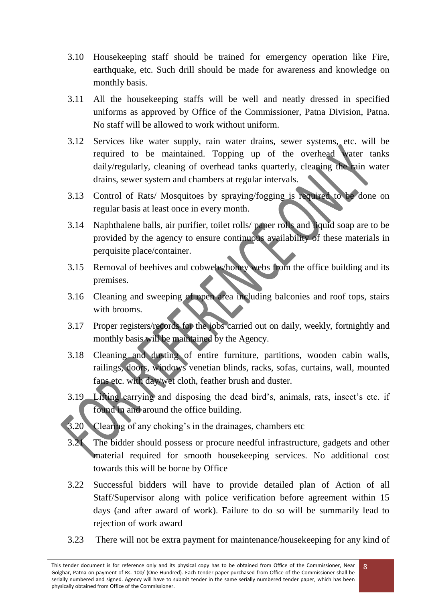- 3.10 Housekeeping staff should be trained for emergency operation like Fire, earthquake, etc. Such drill should be made for awareness and knowledge on monthly basis.
- 3.11 All the housekeeping staffs will be well and neatly dressed in specified uniforms as approved by Office of the Commissioner, Patna Division, Patna. No staff will be allowed to work without uniform.
- 3.12 Services like water supply, rain water drains, sewer systems, etc. will be required to be maintained. Topping up of the overhead water tanks daily/regularly, cleaning of overhead tanks quarterly, cleaning the rain water drains, sewer system and chambers at regular intervals.
- 3.13 Control of Rats/ Mosquitoes by spraying/fogging is required to be done on regular basis at least once in every month.
- 3.14 Naphthalene balls, air purifier, toilet rolls/ paper rolls and liquid soap are to be provided by the agency to ensure continuous availability of these materials in perquisite place/container.
- 3.15 Removal of beehives and cobwebs/honey webs from the office building and its premises.
- 3.16 Cleaning and sweeping of open area including balconies and roof tops, stairs with brooms.
- 3.17 Proper registers/records for the jobs carried out on daily, weekly, fortnightly and monthly basis will be maintained by the Agency.
- 3.18 Cleaning and dusting of entire furniture, partitions, wooden cabin walls, railings, doors, windows venetian blinds, racks, sofas, curtains, wall, mounted fans etc. with day/wet cloth, feather brush and duster.
- 3.19 Lifting carrying and disposing the dead bird's, animals, rats, insect's etc. if found in and around the office building.
- 3.20 Clearing of any choking's in the drainages, chambers etc
- 3.21 The bidder should possess or procure needful infrastructure, gadgets and other material required for smooth housekeeping services. No additional cost towards this will be borne by Office
- 3.22 Successful bidders will have to provide detailed plan of Action of all Staff/Supervisor along with police verification before agreement within 15 days (and after award of work). Failure to do so will be summarily lead to rejection of work award
- 3.23 There will not be extra payment for maintenance/housekeeping for any kind of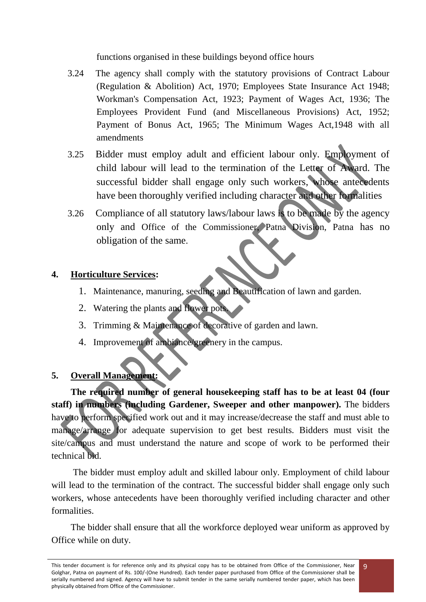functions organised in these buildings beyond office hours

- 3.24 The agency shall comply with the statutory provisions of Contract Labour (Regulation & Abolition) Act, 1970; Employees State Insurance Act 1948; Workman's Compensation Act, 1923; Payment of Wages Act, 1936; The Employees Provident Fund (and Miscellaneous Provisions) Act, 1952; Payment of Bonus Act, 1965; The Minimum Wages Act,1948 with all amendments
- 3.25 Bidder must employ adult and efficient labour only. Employment of child labour will lead to the termination of the Letter of Award. The successful bidder shall engage only such workers, whose antecedents have been thoroughly verified including character and other formalities
- 3.26 Compliance of all statutory laws/labour laws is to be made by the agency only and Office of the Commissioner, Patna Division, Patna has no obligation of the same.

## **4. Horticulture Services:**

- 1. Maintenance, manuring, seeding and Beautification of lawn and garden.
- 2. Watering the plants and flower pots.
- 3. Trimming & Maintenance of decorative of garden and lawn.
- 4. Improvement of ambiance/greenery in the campus.

## **5. Overall Management:**

**The required number of general housekeeping staff has to be at least 04 (four staff) in numbers (including Gardener, Sweeper and other manpower).** The bidders have to perform specified work out and it may increase/decrease the staff and must able to manage/arrange for adequate supervision to get best results. Bidders must visit the site/campus and must understand the nature and scope of work to be performed their technical bid.

The bidder must employ adult and skilled labour only. Employment of child labour will lead to the termination of the contract. The successful bidder shall engage only such workers, whose antecedents have been thoroughly verified including character and other formalities.

The bidder shall ensure that all the workforce deployed wear uniform as approved by Office while on duty.

This tender document is for reference only and its physical copy has to be obtained from Office of the Commissioner, Near Golghar, Patna on payment of Rs. 100/-(One Hundred). Each tender paper purchased from Office of the Commissioner shall be serially numbered and signed. Agency will have to submit tender in the same serially numbered tender paper, which has been physically obtained from Office of the Commissioner.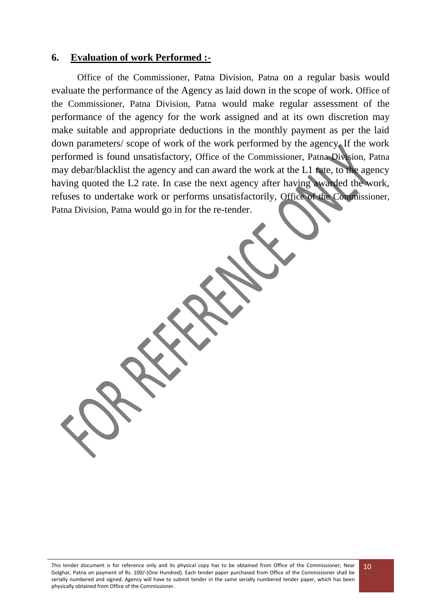#### **6. Evaluation of work Performed :-**

Office of the Commissioner, Patna Division, Patna on a regular basis would evaluate the performance of the Agency as laid down in the scope of work. Office of the Commissioner, Patna Division, Patna would make regular assessment of the performance of the agency for the work assigned and at its own discretion may make suitable and appropriate deductions in the monthly payment as per the laid down parameters/ scope of work of the work performed by the agency. If the work performed is found unsatisfactory, Office of the Commissioner, Patna Division, Patna may debar/blacklist the agency and can award the work at the L1 rate, to the agency having quoted the L2 rate. In case the next agency after having awarded the work, refuses to undertake work or performs unsatisfactorily, Office of the Commissioner, Patna Division, Patna would go in for the re-tender.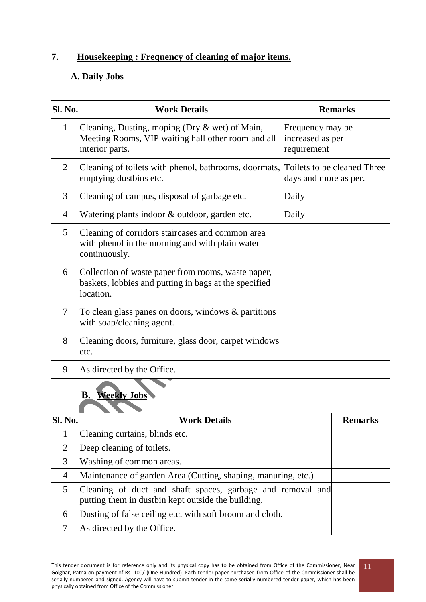## **7. Housekeeping : Frequency of cleaning of major items.**

### **A. Daily Jobs**

| Sl. No.      | <b>Work Details</b>                                                                                                        | <b>Remarks</b>                                       |
|--------------|----------------------------------------------------------------------------------------------------------------------------|------------------------------------------------------|
| $\mathbf{1}$ | Cleaning, Dusting, moping (Dry $\&$ wet) of Main,<br>Meeting Rooms, VIP waiting hall other room and all<br>interior parts. | Frequency may be<br>increased as per<br>requirement  |
| 2            | Cleaning of toilets with phenol, bathrooms, doormats,<br>emptying dustbins etc.                                            | Toilets to be cleaned Three<br>days and more as per. |
| 3            | Cleaning of campus, disposal of garbage etc.                                                                               | Daily                                                |
| 4            | Watering plants indoor & outdoor, garden etc.                                                                              | Daily                                                |
| 5            | Cleaning of corridors staircases and common area<br>with phenol in the morning and with plain water<br>continuously.       |                                                      |
| 6            | Collection of waste paper from rooms, waste paper,<br>baskets, lobbies and putting in bags at the specified<br>location.   |                                                      |
| 7            | To clean glass panes on doors, windows $\&$ partitions<br>with soap/cleaning agent.                                        |                                                      |
| 8            | Cleaning doors, furniture, glass door, carpet windows<br>etc.                                                              |                                                      |
| 9            | As directed by the Office.                                                                                                 |                                                      |

## **B. Weekly Jobs**

| <b>Sl. No.</b> | <b>Work Details</b>                                                                                              | <b>Remarks</b> |
|----------------|------------------------------------------------------------------------------------------------------------------|----------------|
| 1              | Cleaning curtains, blinds etc.                                                                                   |                |
| 2              | Deep cleaning of toilets.                                                                                        |                |
| 3              | Washing of common areas.                                                                                         |                |
| $\overline{4}$ | Maintenance of garden Area (Cutting, shaping, manuring, etc.)                                                    |                |
| 5              | Cleaning of duct and shaft spaces, garbage and removal and<br>putting them in dustbin kept outside the building. |                |
| 6              | Dusting of false ceiling etc. with soft broom and cloth.                                                         |                |
| 7              | As directed by the Office.                                                                                       |                |

This tender document is for reference only and its physical copy has to be obtained from Office of the Commissioner, Near Golghar, Patna on payment of Rs. 100/-(One Hundred). Each tender paper purchased from Office of the Commissioner shall be serially numbered and signed. Agency will have to submit tender in the same serially numbered tender paper, which has been physically obtained from Office of the Commissioner.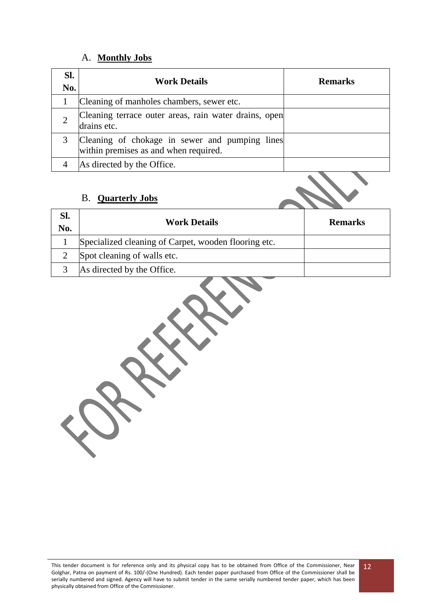#### A. **Monthly Jobs**

| SI.<br>No. | <b>Work Details</b>                                                                     | <b>Remarks</b> |
|------------|-----------------------------------------------------------------------------------------|----------------|
|            | Cleaning of manholes chambers, sewer etc.                                               |                |
|            | Cleaning terrace outer areas, rain water drains, open<br>drains etc.                    |                |
|            | Cleaning of chokage in sewer and pumping lines<br>within premises as and when required. |                |
|            | As directed by the Office.                                                              |                |

#### B. **Quarterly Jobs**

| Sl.<br>No. | <b>Work Details</b>                                  | <b>Remarks</b> |
|------------|------------------------------------------------------|----------------|
|            | Specialized cleaning of Carpet, wooden flooring etc. |                |
|            | Spot cleaning of walls etc.                          |                |
|            | As directed by the Office.                           |                |

Š X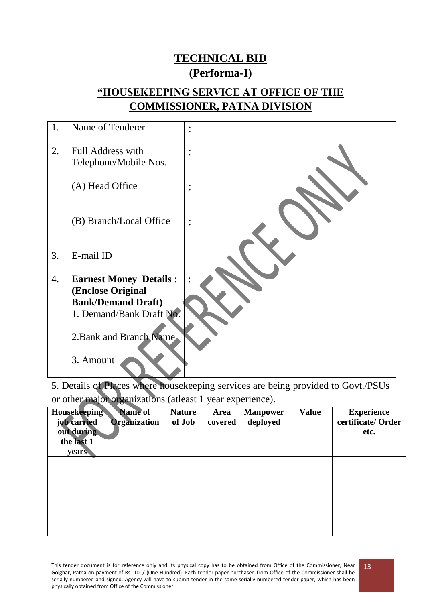## **TECHNICAL BID (Performa-I)**

## **"HOUSEKEEPING SERVICE AT OFFICE OF THE COMMISSIONER, PATNA DIVISION**

| 1. | Name of Tenderer                           | $\bullet$<br>$\bullet$            |  |
|----|--------------------------------------------|-----------------------------------|--|
| 2. | Full Address with<br>Telephone/Mobile Nos. | $\bullet$                         |  |
|    | (A) Head Office                            | $\bullet$<br>$\ddot{\phantom{0}}$ |  |
|    | (B) Branch/Local Office                    | $\ddot{\cdot}$                    |  |
| 3. | E-mail ID                                  |                                   |  |
| 4. | <b>Earnest Money Details:</b>              | $\ddot{\cdot}$                    |  |
|    | (Enclose Original                          |                                   |  |
|    | <b>Bank/Demand Draft)</b>                  |                                   |  |
|    | 1. Demand/Bank Draft No.                   |                                   |  |
|    | 2. Bank and Branch Name                    |                                   |  |
|    | 3. Amount                                  |                                   |  |

5. Details of Places where housekeeping services are being provided to Govt./PSUs or other major organizations (atleast 1 year experience).

| <b>Housekeeping</b><br>job carried<br>out during<br>the last 1<br>years | Name of<br><b>Organization</b> | <b>Nature</b><br>of Job | Area<br>covered | <b>Manpower</b><br>deployed | <b>Value</b> | <b>Experience</b><br>certificate/Order<br>etc. |
|-------------------------------------------------------------------------|--------------------------------|-------------------------|-----------------|-----------------------------|--------------|------------------------------------------------|
|                                                                         |                                |                         |                 |                             |              |                                                |
|                                                                         |                                |                         |                 |                             |              |                                                |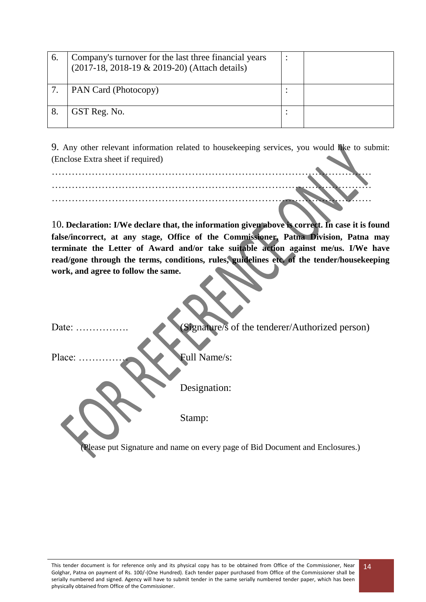| 6. | Company's turnover for the last three financial years<br>(2017-18, 2018-19 & 2019-20) (Attach details) |           |  |
|----|--------------------------------------------------------------------------------------------------------|-----------|--|
|    | PAN Card (Photocopy)                                                                                   |           |  |
|    | GST Reg. No.                                                                                           | $\bullet$ |  |

9. Any other relevant information related to housekeeping services, you would like to submit: (Enclose Extra sheet if required)

10**. Declaration: I/We declare that, the information given above is correct. In case it is found false/incorrect, at any stage, Office of the Commissioner, Patna Division, Patna may terminate the Letter of Award and/or take suitable action against me/us. I/We have read/gone through the terms, conditions, rules, guidelines etc. of the tender/housekeeping work, and agree to follow the same.**

Date: ……………. (Signature/s of the tenderer/Authorized person) Place: …………… Full Name/s: Designation: Stamp: Please put Signature and name on every page of Bid Document and Enclosures.)